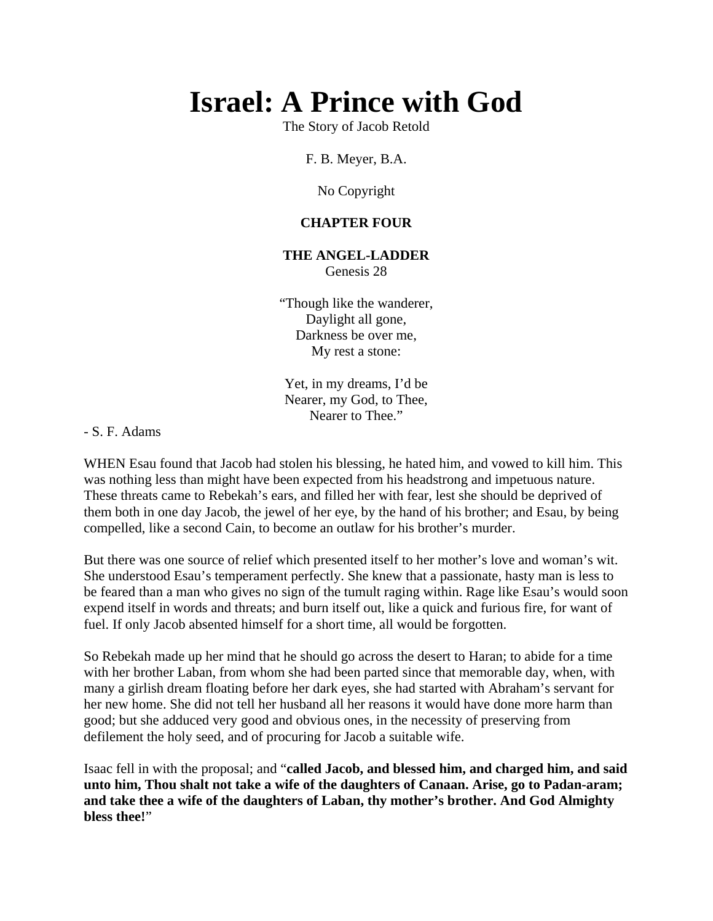# **Israel: A Prince with God** The Story of Jacob Retold

F. B. Meyer, B.A.

No Copyright

## **CHAPTER FOUR**

#### **THE ANGEL-LADDER**  Genesis 28

"Though like the wanderer, Daylight all gone, Darkness be over me, My rest a stone:

Yet, in my dreams, I'd be Nearer, my God, to Thee, Nearer to Thee."

- S. F. Adams

WHEN Esau found that Jacob had stolen his blessing, he hated him, and vowed to kill him. This was nothing less than might have been expected from his headstrong and impetuous nature. These threats came to Rebekah's ears, and filled her with fear, lest she should be deprived of them both in one day Jacob, the jewel of her eye, by the hand of his brother; and Esau, by being compelled, like a second Cain, to become an outlaw for his brother's murder.

But there was one source of relief which presented itself to her mother's love and woman's wit. She understood Esau's temperament perfectly. She knew that a passionate, hasty man is less to be feared than a man who gives no sign of the tumult raging within. Rage like Esau's would soon expend itself in words and threats; and burn itself out, like a quick and furious fire, for want of fuel. If only Jacob absented himself for a short time, all would be forgotten.

So Rebekah made up her mind that he should go across the desert to Haran; to abide for a time with her brother Laban, from whom she had been parted since that memorable day, when, with many a girlish dream floating before her dark eyes, she had started with Abraham's servant for her new home. She did not tell her husband all her reasons it would have done more harm than good; but she adduced very good and obvious ones, in the necessity of preserving from defilement the holy seed, and of procuring for Jacob a suitable wife.

Isaac fell in with the proposal; and "**called Jacob, and blessed him, and charged him, and said unto him, Thou shalt not take a wife of the daughters of Canaan. Arise, go to Padan-aram; and take thee a wife of the daughters of Laban, thy mother's brother. And God Almighty bless thee!**"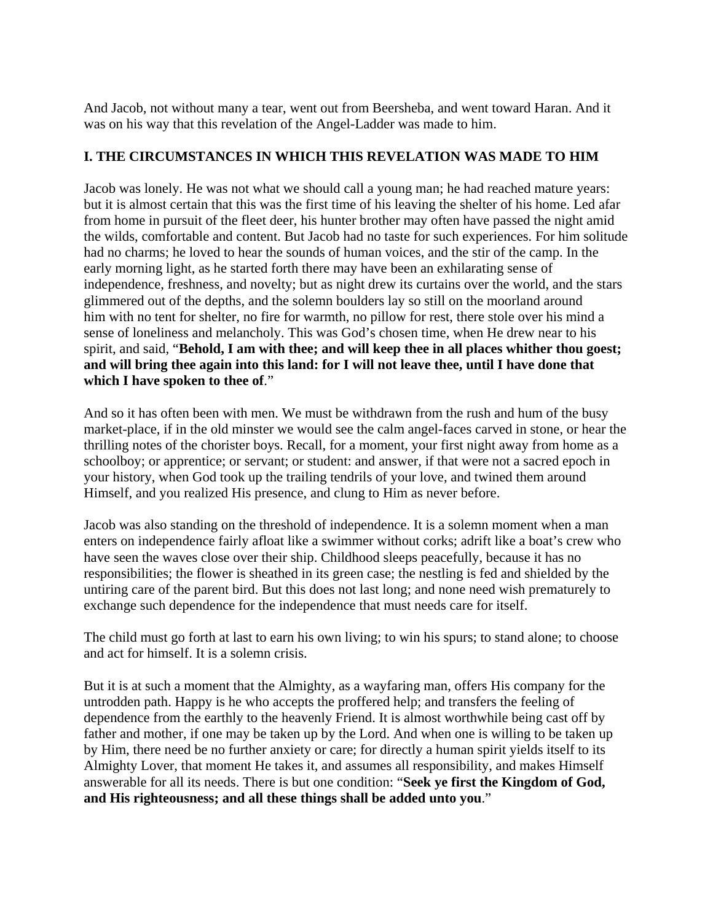And Jacob, not without many a tear, went out from Beersheba, and went toward Haran. And it was on his way that this revelation of the Angel-Ladder was made to him.

## **I. THE CIRCUMSTANCES IN WHICH THIS REVELATION WAS MADE TO HIM**

Jacob was lonely. He was not what we should call a young man; he had reached mature years: but it is almost certain that this was the first time of his leaving the shelter of his home. Led afar from home in pursuit of the fleet deer, his hunter brother may often have passed the night amid the wilds, comfortable and content. But Jacob had no taste for such experiences. For him solitude had no charms; he loved to hear the sounds of human voices, and the stir of the camp. In the early morning light, as he started forth there may have been an exhilarating sense of independence, freshness, and novelty; but as night drew its curtains over the world, and the stars glimmered out of the depths, and the solemn boulders lay so still on the moorland around him with no tent for shelter, no fire for warmth, no pillow for rest, there stole over his mind a sense of loneliness and melancholy. This was God's chosen time, when He drew near to his spirit, and said, "**Behold, I am with thee; and will keep thee in all places whither thou goest; and will bring thee again into this land: for I will not leave thee, until I have done that which I have spoken to thee of**."

And so it has often been with men. We must be withdrawn from the rush and hum of the busy market-place, if in the old minster we would see the calm angel-faces carved in stone, or hear the thrilling notes of the chorister boys. Recall, for a moment, your first night away from home as a schoolboy; or apprentice; or servant; or student: and answer, if that were not a sacred epoch in your history, when God took up the trailing tendrils of your love, and twined them around Himself, and you realized His presence, and clung to Him as never before.

Jacob was also standing on the threshold of independence. It is a solemn moment when a man enters on independence fairly afloat like a swimmer without corks; adrift like a boat's crew who have seen the waves close over their ship. Childhood sleeps peacefully, because it has no responsibilities; the flower is sheathed in its green case; the nestling is fed and shielded by the untiring care of the parent bird. But this does not last long; and none need wish prematurely to exchange such dependence for the independence that must needs care for itself.

The child must go forth at last to earn his own living; to win his spurs; to stand alone; to choose and act for himself. It is a solemn crisis.

But it is at such a moment that the Almighty, as a wayfaring man, offers His company for the untrodden path. Happy is he who accepts the proffered help; and transfers the feeling of dependence from the earthly to the heavenly Friend. It is almost worthwhile being cast off by father and mother, if one may be taken up by the Lord. And when one is willing to be taken up by Him, there need be no further anxiety or care; for directly a human spirit yields itself to its Almighty Lover, that moment He takes it, and assumes all responsibility, and makes Himself answerable for all its needs. There is but one condition: "**Seek ye first the Kingdom of God, and His righteousness; and all these things shall be added unto you**."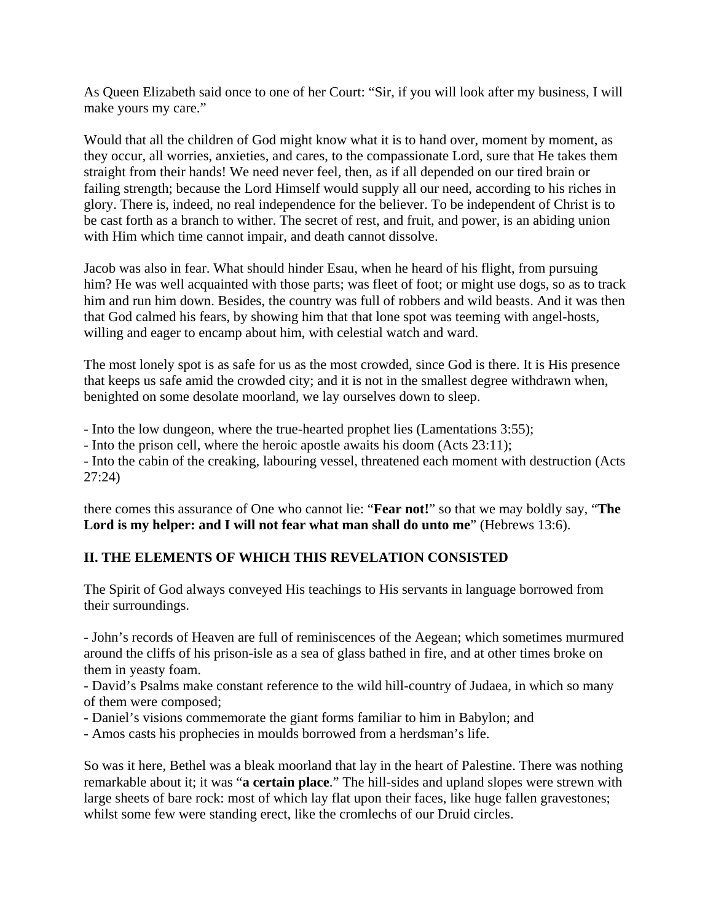As Queen Elizabeth said once to one of her Court: "Sir, if you will look after my business, I will make yours my care."

Would that all the children of God might know what it is to hand over, moment by moment, as they occur, all worries, anxieties, and cares, to the compassionate Lord, sure that He takes them straight from their hands! We need never feel, then, as if all depended on our tired brain or failing strength; because the Lord Himself would supply all our need, according to his riches in glory. There is, indeed, no real independence for the believer. To be independent of Christ is to be cast forth as a branch to wither. The secret of rest, and fruit, and power, is an abiding union with Him which time cannot impair, and death cannot dissolve.

Jacob was also in fear. What should hinder Esau, when he heard of his flight, from pursuing him? He was well acquainted with those parts; was fleet of foot; or might use dogs, so as to track him and run him down. Besides, the country was full of robbers and wild beasts. And it was then that God calmed his fears, by showing him that that lone spot was teeming with angel-hosts, willing and eager to encamp about him, with celestial watch and ward.

The most lonely spot is as safe for us as the most crowded, since God is there. It is His presence that keeps us safe amid the crowded city; and it is not in the smallest degree withdrawn when, benighted on some desolate moorland, we lay ourselves down to sleep.

- Into the low dungeon, where the true-hearted prophet lies (Lamentations 3:55);

- Into the prison cell, where the heroic apostle awaits his doom (Acts 23:11);

- Into the cabin of the creaking, labouring vessel, threatened each moment with destruction (Acts 27:24)

there comes this assurance of One who cannot lie: "**Fear not!**" so that we may boldly say, "**The Lord is my helper: and I will not fear what man shall do unto me**" (Hebrews 13:6).

### **II. THE ELEMENTS OF WHICH THIS REVELATION CONSISTED**

The Spirit of God always conveyed His teachings to His servants in language borrowed from their surroundings.

- John's records of Heaven are full of reminiscences of the Aegean; which sometimes murmured around the cliffs of his prison-isle as a sea of glass bathed in fire, and at other times broke on them in yeasty foam.

- David's Psalms make constant reference to the wild hill-country of Judaea, in which so many of them were composed;

- Daniel's visions commemorate the giant forms familiar to him in Babylon; and

- Amos casts his prophecies in moulds borrowed from a herdsman's life.

So was it here, Bethel was a bleak moorland that lay in the heart of Palestine. There was nothing remarkable about it; it was "**a certain place**." The hill-sides and upland slopes were strewn with large sheets of bare rock: most of which lay flat upon their faces, like huge fallen gravestones; whilst some few were standing erect, like the cromlechs of our Druid circles.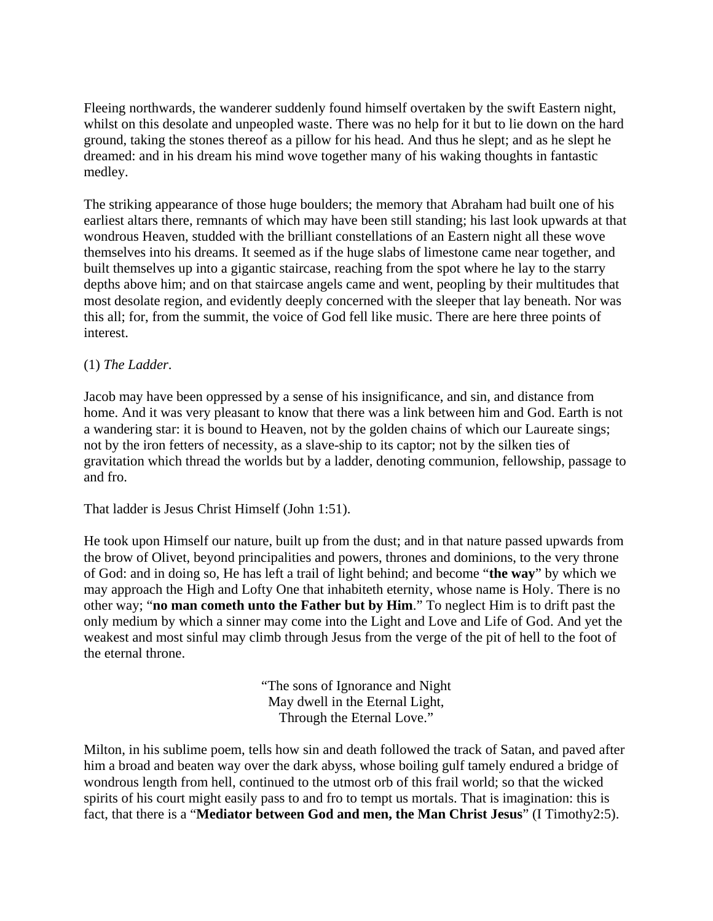Fleeing northwards, the wanderer suddenly found himself overtaken by the swift Eastern night, whilst on this desolate and unpeopled waste. There was no help for it but to lie down on the hard ground, taking the stones thereof as a pillow for his head. And thus he slept; and as he slept he dreamed: and in his dream his mind wove together many of his waking thoughts in fantastic medley.

The striking appearance of those huge boulders; the memory that Abraham had built one of his earliest altars there, remnants of which may have been still standing; his last look upwards at that wondrous Heaven, studded with the brilliant constellations of an Eastern night all these wove themselves into his dreams. It seemed as if the huge slabs of limestone came near together, and built themselves up into a gigantic staircase, reaching from the spot where he lay to the starry depths above him; and on that staircase angels came and went, peopling by their multitudes that most desolate region, and evidently deeply concerned with the sleeper that lay beneath. Nor was this all; for, from the summit, the voice of God fell like music. There are here three points of interest.

### (1) *The Ladder*.

Jacob may have been oppressed by a sense of his insignificance, and sin, and distance from home. And it was very pleasant to know that there was a link between him and God. Earth is not a wandering star: it is bound to Heaven, not by the golden chains of which our Laureate sings; not by the iron fetters of necessity, as a slave-ship to its captor; not by the silken ties of gravitation which thread the worlds but by a ladder, denoting communion, fellowship, passage to and fro.

That ladder is Jesus Christ Himself (John 1:51).

He took upon Himself our nature, built up from the dust; and in that nature passed upwards from the brow of Olivet, beyond principalities and powers, thrones and dominions, to the very throne of God: and in doing so, He has left a trail of light behind; and become "**the way**" by which we may approach the High and Lofty One that inhabiteth eternity, whose name is Holy. There is no other way; "**no man cometh unto the Father but by Him**." To neglect Him is to drift past the only medium by which a sinner may come into the Light and Love and Life of God. And yet the weakest and most sinful may climb through Jesus from the verge of the pit of hell to the foot of the eternal throne.

> "The sons of Ignorance and Night May dwell in the Eternal Light, Through the Eternal Love."

Milton, in his sublime poem, tells how sin and death followed the track of Satan, and paved after him a broad and beaten way over the dark abyss, whose boiling gulf tamely endured a bridge of wondrous length from hell, continued to the utmost orb of this frail world; so that the wicked spirits of his court might easily pass to and fro to tempt us mortals. That is imagination: this is fact, that there is a "**Mediator between God and men, the Man Christ Jesus**" (I Timothy2:5).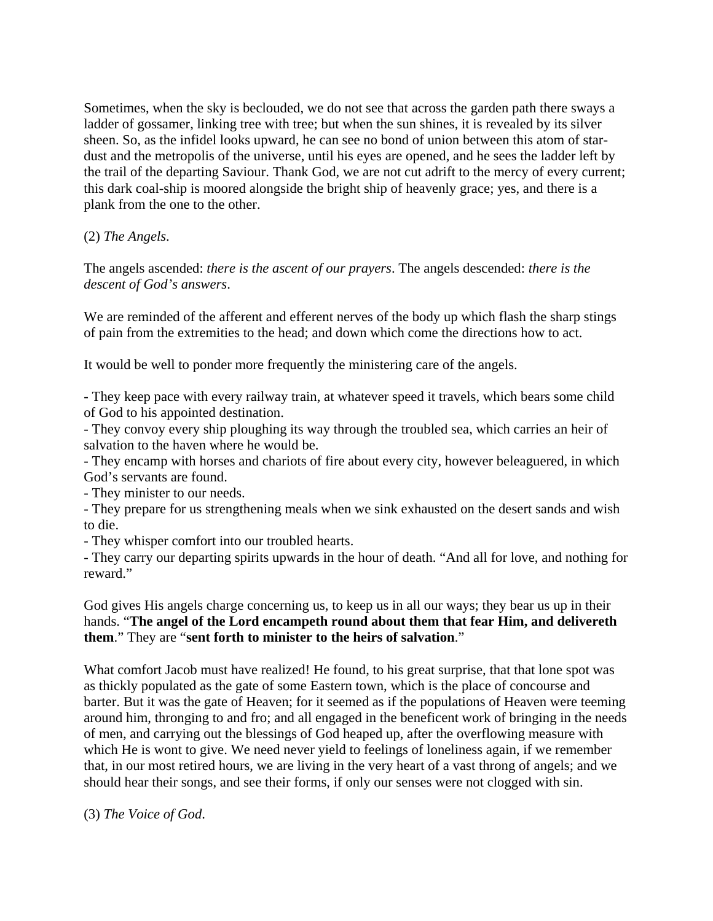Sometimes, when the sky is beclouded, we do not see that across the garden path there sways a ladder of gossamer, linking tree with tree; but when the sun shines, it is revealed by its silver sheen. So, as the infidel looks upward, he can see no bond of union between this atom of stardust and the metropolis of the universe, until his eyes are opened, and he sees the ladder left by the trail of the departing Saviour. Thank God, we are not cut adrift to the mercy of every current; this dark coal-ship is moored alongside the bright ship of heavenly grace; yes, and there is a plank from the one to the other.

(2) *The Angels*.

The angels ascended: *there is the ascent of our prayers*. The angels descended: *there is the descent of God's answers*.

We are reminded of the afferent and efferent nerves of the body up which flash the sharp stings of pain from the extremities to the head; and down which come the directions how to act.

It would be well to ponder more frequently the ministering care of the angels.

- They keep pace with every railway train, at whatever speed it travels, which bears some child of God to his appointed destination.

- They convoy every ship ploughing its way through the troubled sea, which carries an heir of salvation to the haven where he would be.

- They encamp with horses and chariots of fire about every city, however beleaguered, in which God's servants are found.

- They minister to our needs.

- They prepare for us strengthening meals when we sink exhausted on the desert sands and wish to die.

- They whisper comfort into our troubled hearts.

- They carry our departing spirits upwards in the hour of death. "And all for love, and nothing for reward."

God gives His angels charge concerning us, to keep us in all our ways; they bear us up in their hands. "**The angel of the Lord encampeth round about them that fear Him, and delivereth them**." They are "**sent forth to minister to the heirs of salvation**."

What comfort Jacob must have realized! He found, to his great surprise, that that lone spot was as thickly populated as the gate of some Eastern town, which is the place of concourse and barter. But it was the gate of Heaven; for it seemed as if the populations of Heaven were teeming around him, thronging to and fro; and all engaged in the beneficent work of bringing in the needs of men, and carrying out the blessings of God heaped up, after the overflowing measure with which He is wont to give. We need never yield to feelings of loneliness again, if we remember that, in our most retired hours, we are living in the very heart of a vast throng of angels; and we should hear their songs, and see their forms, if only our senses were not clogged with sin.

(3) *The Voice of God*.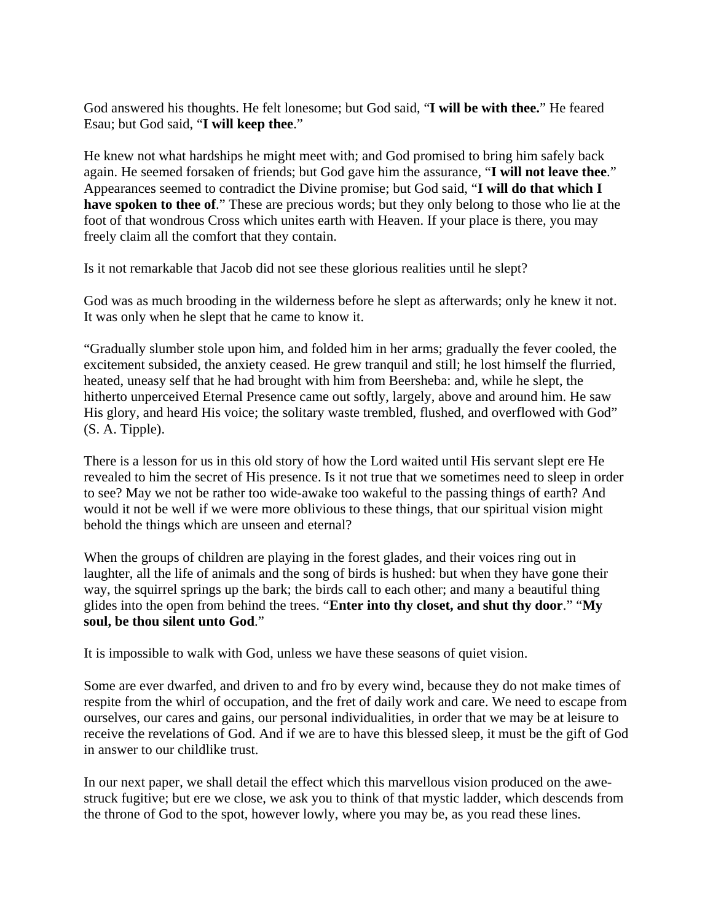God answered his thoughts. He felt lonesome; but God said, "**I will be with thee.**" He feared Esau; but God said, "**I will keep thee**."

He knew not what hardships he might meet with; and God promised to bring him safely back again. He seemed forsaken of friends; but God gave him the assurance, "**I will not leave thee**." Appearances seemed to contradict the Divine promise; but God said, "**I will do that which I have spoken to thee of**." These are precious words; but they only belong to those who lie at the foot of that wondrous Cross which unites earth with Heaven. If your place is there, you may freely claim all the comfort that they contain.

Is it not remarkable that Jacob did not see these glorious realities until he slept?

God was as much brooding in the wilderness before he slept as afterwards; only he knew it not. It was only when he slept that he came to know it.

"Gradually slumber stole upon him, and folded him in her arms; gradually the fever cooled, the excitement subsided, the anxiety ceased. He grew tranquil and still; he lost himself the flurried, heated, uneasy self that he had brought with him from Beersheba: and, while he slept, the hitherto unperceived Eternal Presence came out softly, largely, above and around him. He saw His glory, and heard His voice; the solitary waste trembled, flushed, and overflowed with God" (S. A. Tipple).

There is a lesson for us in this old story of how the Lord waited until His servant slept ere He revealed to him the secret of His presence. Is it not true that we sometimes need to sleep in order to see? May we not be rather too wide-awake too wakeful to the passing things of earth? And would it not be well if we were more oblivious to these things, that our spiritual vision might behold the things which are unseen and eternal?

When the groups of children are playing in the forest glades, and their voices ring out in laughter, all the life of animals and the song of birds is hushed: but when they have gone their way, the squirrel springs up the bark; the birds call to each other; and many a beautiful thing glides into the open from behind the trees. "**Enter into thy closet, and shut thy door**." "**My soul, be thou silent unto God**."

It is impossible to walk with God, unless we have these seasons of quiet vision.

Some are ever dwarfed, and driven to and fro by every wind, because they do not make times of respite from the whirl of occupation, and the fret of daily work and care. We need to escape from ourselves, our cares and gains, our personal individualities, in order that we may be at leisure to receive the revelations of God. And if we are to have this blessed sleep, it must be the gift of God in answer to our childlike trust.

In our next paper, we shall detail the effect which this marvellous vision produced on the awestruck fugitive; but ere we close, we ask you to think of that mystic ladder, which descends from the throne of God to the spot, however lowly, where you may be, as you read these lines.